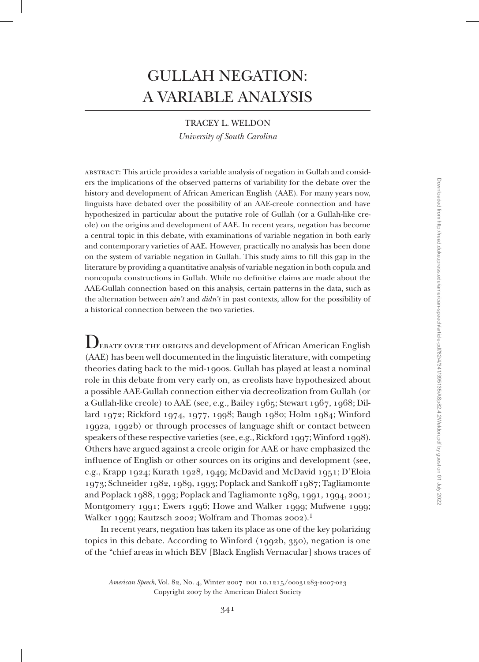# GULLAH NEGATION: A VARIABLE ANALYSIS

TRACEY L. WELDON

*University of South Carolina*

abstract: This article provides a variable analysis of negation in Gullah and considers the implications of the observed patterns of variability for the debate over the history and development of African American English (AAE). For many years now, linguists have debated over the possibility of an AAE-creole connection and have hypothesized in particular about the putative role of Gullah (or a Gullah-like creole) on the origins and development of AAE. In recent years, negation has become a central topic in this debate, with examinations of variable negation in both early and contemporary varieties of AAE. However, practically no analysis has been done on the system of variable negation in Gullah. This study aims to fill this gap in the literature by providing a quantitative analysis of variable negation in both copula and noncopula constructions in Gullah. While no definitive claims are made about the AAE-Gullah connection based on this analysis, certain patterns in the data, such as the alternation between *ain't* and *didn't* in past contexts, allow for the possibility of a historical connection between the two varieties.

 $\mathbf{D}_{\texttt{EBATE}}$  over the origins and development of African American English (AAE) has been well documented in the linguistic literature, with competing theories dating back to the mid-1900s. Gullah has played at least a nominal role in this debate from very early on, as creolists have hypothesized about a possible AAE-Gullah connection either via decreolization from Gullah (or a Gullah-like creole) to AAE (see, e.g., Bailey 1965; Stewart 1967, 1968; Dillard 1972; Rickford 1974, 1977, 1998; Baugh 1980; Holm 1984; Winford 1992a, 1992b) or through processes of language shift or contact between speakers of these respective varieties (see, e.g., Rickford 1997; Winford 1998). Others have argued against a creole origin for AAE or have emphasized the influence of English or other sources on its origins and development (see, e.g., Krapp 1924; Kurath 1928, 1949; McDavid and McDavid 1951; D'Eloia 1973; Schneider 1982, 1989, 1993; Poplack and Sankoff 1987; Tagliamonte and Poplack 1988, 1993; Poplack and Tagliamonte 1989, 1991, 1994, 2001; Montgomery 1991; Ewers 1996; Howe and Walker 1999; Mufwene 1999; Walker 1999; Kautzsch 2002; Wolfram and Thomas 2002).<sup>1</sup>

In recent years, negation has taken its place as one of the key polarizing topics in this debate. According to Winford (1992b, 350), negation is one of the "chief areas in which BEV [Black English Vernacular] shows traces of

*American Speech*, Vol. 82, No. 4, Winter 2007 DOI 10.1215/00031283-2007-023 Copyright 2007 by the American Dialect Society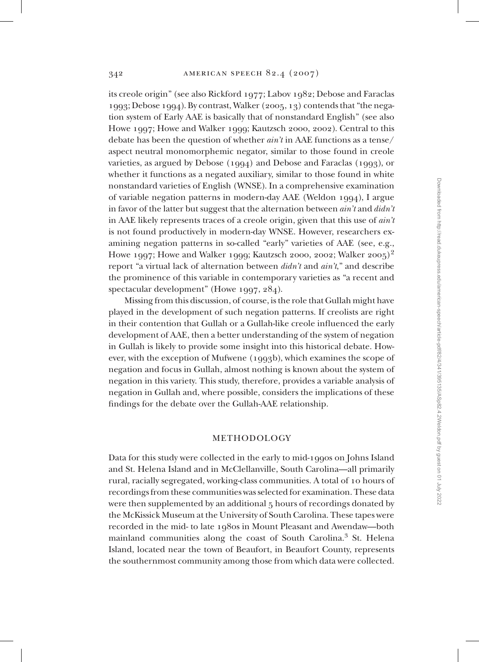its creole origin" (see also Rickford 1977; Labov 1982; Debose and Faraclas 1993; Debose 1994). By contrast, Walker (2005, 13) contends that "the negation system of Early AAE is basically that of nonstandard English" (see also Howe 1997; Howe and Walker 1999; Kautzsch 2000, 2002). Central to this debate has been the question of whether *ain't* in AAE functions as a tense/ aspect neutral monomorphemic negator, similar to those found in creole varieties, as argued by Debose (1994) and Debose and Faraclas (1993), or whether it functions as a negated auxiliary, similar to those found in white nonstandard varieties of English (WNSE). In a comprehensive examination of variable negation patterns in modern-day AAE (Weldon 1994), I argue in favor of the latter but suggest that the alternation between *ain't* and *didn't* in AAE likely represents traces of a creole origin, given that this use of *ain't* is not found productively in modern-day WNSE. However, researchers examining negation patterns in so-called "early" varieties of AAE (see, e.g., Howe 1997; Howe and Walker 1999; Kautzsch 2000, 2002; Walker 2005)<sup>2</sup> report "a virtual lack of alternation between *didn't* and *ain't*," and describe the prominence of this variable in contemporary varieties as "a recent and spectacular development" (Howe 1997, 284).

Missing from this discussion, of course, is the role that Gullah might have played in the development of such negation patterns. If creolists are right in their contention that Gullah or a Gullah-like creole influenced the early development of AAE, then a better understanding of the system of negation in Gullah is likely to provide some insight into this historical debate. However, with the exception of Mufwene (1993b), which examines the scope of negation and focus in Gullah, almost nothing is known about the system of negation in this variety. This study, therefore, provides a variable analysis of negation in Gullah and, where possible, considers the implications of these findings for the debate over the Gullah-AAE relationship.

## METHODOLOGY

Data for this study were collected in the early to mid-1990s on Johns Island and St. Helena Island and in McClellanville, South Carolina—all primarily rural, racially segregated, working-class communities. A total of 10 hours of recordings from these communities was selected for examination. These data were then supplemented by an additional 5 hours of recordings donated by the McKissick Museum at the University of South Carolina. These tapes were recorded in the mid- to late 1980s in Mount Pleasant and Awendaw—both mainland communities along the coast of South Carolina.3 St. Helena Island, located near the town of Beaufort, in Beaufort County, represents the southernmost community among those from which data were collected.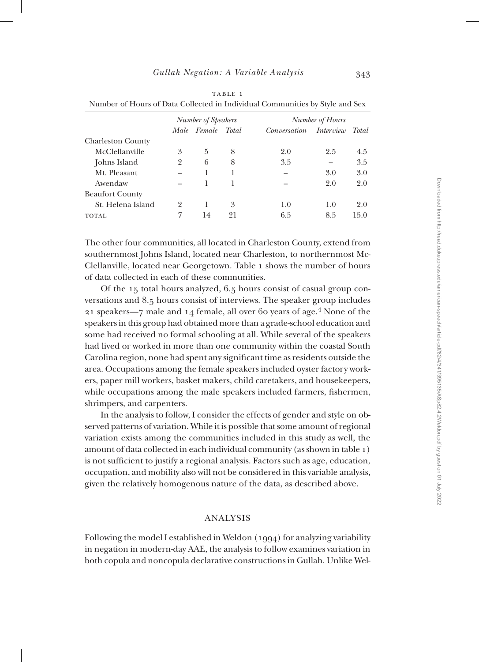|                          |      | Number of Speakers |              |                     | Number of Hours |              |
|--------------------------|------|--------------------|--------------|---------------------|-----------------|--------------|
|                          | Male | Female             | <i>Total</i> | <i>Conversation</i> | Interview       | <b>Total</b> |
| <b>Charleston County</b> |      |                    |              |                     |                 |              |
| McClellanville           | 3    | 5                  | 8            | 2.0                 | 2.5             | 4.5          |
| Johns Island             | 2    | 6                  | 8            | 3.5                 |                 | 3.5          |
| Mt. Pleasant             |      | 1                  |              |                     | 3.0             | 3.0          |
| Awendaw                  |      | 1                  | 1            |                     | 2.0             | 2.0          |
| <b>Beaufort County</b>   |      |                    |              |                     |                 |              |
| St. Helena Island        | 2    | 1                  | 3            | 1.0                 | 1.0             | 2.0          |
| <b>TOTAL</b>             | 7    | 14                 | 21           | 6.5                 | 8.5             | 15.0         |
|                          |      |                    |              |                     |                 |              |

| TABLE 1                                                                      |
|------------------------------------------------------------------------------|
| Number of Hours of Data Collected in Individual Communities by Style and Sex |

The other four communities, all located in Charleston County, extend from southernmost Johns Island, located near Charleston, to northernmost Mc-Clellanville, located near Georgetown. Table 1 shows the number of hours of data collected in each of these communities.

Of the 15 total hours analyzed, 6.5 hours consist of casual group conversations and 8.5 hours consist of interviews. The speaker group includes 21 speakers—7 male and 14 female, all over 60 years of age.4 None of the speakers in this group had obtained more than a grade-school education and some had received no formal schooling at all. While several of the speakers had lived or worked in more than one community within the coastal South Carolina region, none had spent any significant time as residents outside the area. Occupations among the female speakers included oyster factory workers, paper mill workers, basket makers, child caretakers, and housekeepers, while occupations among the male speakers included farmers, fishermen, shrimpers, and carpenters.

In the analysis to follow, I consider the effects of gender and style on observed patterns of variation. While it is possible that some amount of regional variation exists among the communities included in this study as well, the amount of data collected in each individual community (as shown in table 1) is not sufficient to justify a regional analysis. Factors such as age, education, occupation, and mobility also will not be considered in this variable analysis, given the relatively homogenous nature of the data, as described above.

## ANALYSIS

Following the model I established in Weldon (1994) for analyzing variability in negation in modern-day AAE, the analysis to follow examines variation in both copula and noncopula declarative constructions in Gullah. Unlike Wel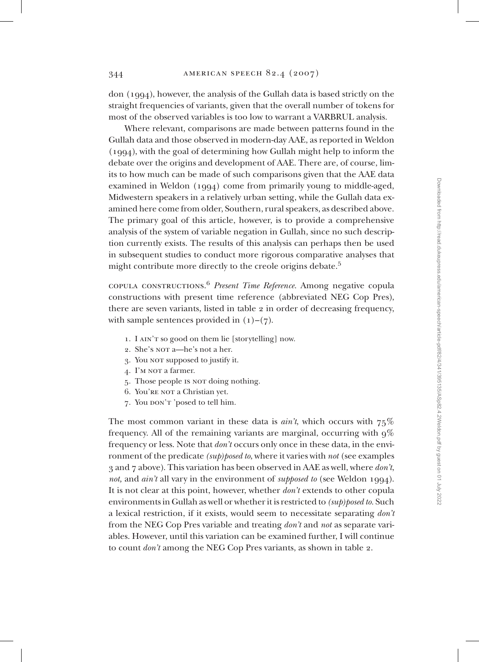don (1994), however, the analysis of the Gullah data is based strictly on the straight frequencies of variants, given that the overall number of tokens for most of the observed variables is too low to warrant a VARBRUL analysis.

Where relevant, comparisons are made between patterns found in the Gullah data and those observed in modern-day AAE, as reported in Weldon (1994), with the goal of determining how Gullah might help to inform the debate over the origins and development of AAE. There are, of course, limits to how much can be made of such comparisons given that the AAE data examined in Weldon (1994) come from primarily young to middle-aged, Midwestern speakers in a relatively urban setting, while the Gullah data examined here come from older, Southern, rural speakers, as described above. The primary goal of this article, however, is to provide a comprehensive analysis of the system of variable negation in Gullah, since no such description currently exists. The results of this analysis can perhaps then be used in subsequent studies to conduct more rigorous comparative analyses that might contribute more directly to the creole origins debate.<sup>5</sup>

copula constructions.6 *Present Time Reference.* Among negative copula constructions with present time reference (abbreviated NEG Cop Pres), there are seven variants, listed in table 2 in order of decreasing frequency, with sample sentences provided in  $(1)-(7)$ .

- 1. I AIN'T so good on them lie [storytelling] now.
- 2. She's not a—he's not a her.
- 3. You not supposed to justify it.
- 4. I'm not a farmer.
- 5. Those people is not doing nothing.
- 6. You're not a Christian yet.
- 7. You DON'T 'posed to tell him.

The most common variant in these data is *ain't*, which occurs with 75% frequency. All of the remaining variants are marginal, occurring with  $\varphi\%$ frequency or less. Note that *don't* occurs only once in these data, in the environment of the predicate *(sup)posed to*, where it varies with *not* (see examples 3 and 7 above). This variation has been observed in AAE as well, where *don't*, *not,* and *ain't* all vary in the environment of *supposed to* (see Weldon 1994). It is not clear at this point, however, whether *don't* extends to other copula environments in Gullah as well or whether it is restricted to *(sup)posed to.* Such a lexical restriction, if it exists, would seem to necessitate separating *don't* from the NEG Cop Pres variable and treating *don't* and *not* as separate variables. However, until this variation can be examined further, I will continue to count *don't* among the NEG Cop Pres variants, as shown in table 2.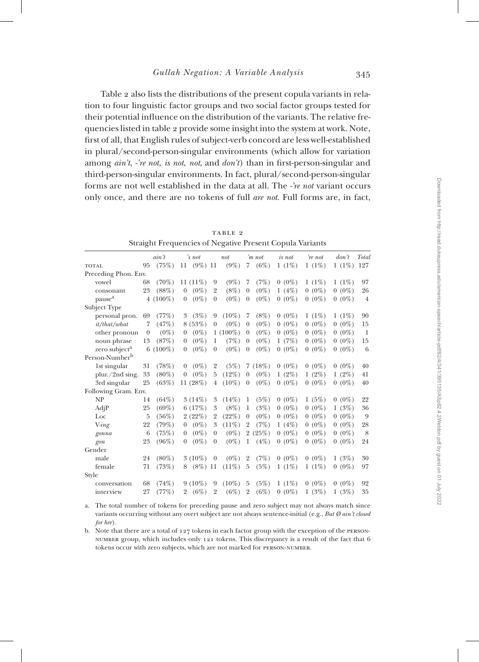Table 2 also lists the distributions of the present copula variants in relation to four linguistic factor groups and two social factor groups tested for their potential influence on the distribution of the variants. The relative frequencies listed in table 2 provide some insight into the system at work. Note, first of all, that English rules of subject-verb concord are less well-established in plural/second-person-singular environments (which allow for variation among *ain't*, *-'re not*, *is not*, *not*, and *don't*) than in first-person-singular and third-person-singular environments. In fact, plural/second-person-singular forms are not well established in the data at all. The *-'re not* variant occurs only once, and there are no tokens of full *are not*. Full forms are, in fact,

|                            |          | ain't       |                  | $\sin nt$       |                | not        |                | 'm not  | <i>is</i> not | 're not  | don't    | Total          |
|----------------------------|----------|-------------|------------------|-----------------|----------------|------------|----------------|---------|---------------|----------|----------|----------------|
| <b>TOTAL</b>               | 95       | (75%)       |                  | $11(9\%)11$     |                | $(9\%)$    | $\overline{7}$ | (6%)    | $1(1\%)$      | $1(1\%)$ | $1(1\%)$ | 127            |
| Preceding Phon. Env.       |          |             |                  |                 |                |            |                |         |               |          |          |                |
| vowel                      | 68       | $(70\%)$    |                  | 11 $(11\%)$     | 9              | $(9\%)$    | 7              | (7%)    | $0(0\%)$      | $1(1\%)$ | $1(1\%)$ | 97             |
| consonant                  | 23       | $(88\%)$    | $\overline{0}$   | $(0\%)$         | $\overline{2}$ | $(8\%)$    | $\theta$       | $(0\%)$ | 1(4%)         | $0(0\%)$ | $0(0\%)$ | 26             |
| pause <sup>a</sup>         |          | 4 $(100\%)$ | $\overline{0}$   | $(0\%)$         | $\theta$       | $(0\%)$    | $\theta$       | $(0\%)$ | $0(0\%)$      | $0(0\%)$ | $0(0\%)$ | $\overline{4}$ |
| Subject Type               |          |             |                  |                 |                |            |                |         |               |          |          |                |
| personal pron.             | 69       | (77%)       |                  | 3(3%)           | 9              | $(10\%)$   | 7              | $(8\%)$ | $0(0\%)$      | $1(1\%)$ | $1(1\%)$ | 90             |
| it/that/what               | 7        | (47%)       |                  | 8(53%)          | $\theta$       | $(0\%)$    | $\theta$       | $(0\%)$ | $0(0\%)$      | $0(0\%)$ | $0(0\%)$ | 15             |
| other pronoun              | $\theta$ | $(0\%)$     | $\overline{0}$   | $(0\%)$         |                | $1(100\%)$ | $\theta$       | $(0\%)$ | $0(0\%)$      | $0(0\%)$ | $0(0\%)$ | -1             |
| noun phrase                | 13       | (87%)       | $\theta$         | $(0\%)$         | 1              | (7%)       | $\theta$       | $(0\%)$ | 1(7%)         | $0(0\%)$ | $0(0\%)$ | 15             |
| zero subject <sup>a</sup>  |          | 6 $(100\%)$ | $\overline{0}$   | $(0\%)$         | $\theta$       | $(0\%)$    | $\theta$       | $(0\%)$ | $0(0\%)$      | $0(0\%)$ | $0(0\%)$ | 6              |
| Person-Number <sup>b</sup> |          |             |                  |                 |                |            |                |         |               |          |          |                |
| 1st singular               | 31       | (78%)       |                  | $0(0\%)$        | $\overline{2}$ | (5%)       |                | 7(18%)  | $0(0\%)$      | $0(0\%)$ | $0(0\%)$ | 40             |
| $_{\rm plur.}/2$ nd sing.  | 33       | $(80\%)$    | $\boldsymbol{0}$ | $(0\%)$         | 5              | $(12\%)$   | $\theta$       | $(0\%)$ | $1(2\%)$      | $1(2\%)$ | $1(2\%)$ | 41             |
| 3rd singular               | 25       | (63%)       |                  | 11 $(28%)$      | $\overline{4}$ | $(10\%)$   | $\theta$       | $(0\%)$ | $0(0\%)$      | $0(0\%)$ | $0(0\%)$ | 40             |
| Following Gram. Env.       |          |             |                  |                 |                |            |                |         |               |          |          |                |
| NP                         | 14       | (64%)       |                  | $3(14\%)$       | 3              | $(14\%)$   | 1              | (5%)    | $0(0\%)$      | 1(5%)    | $0(0\%)$ | 22             |
| AdjP                       | 25       | $(69\%)$    |                  | 6(17%)          | 3              | $(8\%)$    | -1             | (3%)    | $0(0\%)$      | $0(0\%)$ | 1(3%)    | 36             |
| Loc                        | 5        | $(56\%)$    |                  | 2(22%)          | $\overline{2}$ | (22%)      | $\theta$       | $(0\%)$ | $0(0\%)$      | $0(0\%)$ | $0(0\%)$ | 9              |
| $V$ -ing                   | 22       | (79%)       |                  | $0 \quad (0\%)$ | 3              | $(11\%)$   | $\overline{2}$ | (7%)    | 1(4%)         | $0(0\%)$ | $0(0\%)$ | 28             |
| gonna                      | 6        | (75%)       | $\overline{0}$   | $(0\%)$         | $\theta$       | $(0\%)$    |                | 2(25%)  | $0(0\%)$      | $0(0\%)$ | $0(0\%)$ | 8              |
| gon                        | 23       | $(96\%)$    | $\theta$         | $(0\%)$         | $\theta$       | $(0\%)$    | $\mathbf{1}$   | (4%)    | $0(0\%)$      | $0(0\%)$ | $0(0\%)$ | 24             |
| Gender                     |          |             |                  |                 |                |            |                |         |               |          |          |                |
| male                       | 24       | $(80\%)$    |                  | $3(10\%)$ 0     |                | $(0\%)$ 2  |                | (7%)    | $0(0\%)$      | $0(0\%)$ | 1(3%)    | 30             |
| female                     | 71       | (73%)       |                  | 8 (8%) 11       |                | $(11\%)$   | 5              | (5%)    | $1(1\%)$      | $1(1\%)$ | $0(0\%)$ | 97             |
| Style                      |          |             |                  |                 |                |            |                |         |               |          |          |                |
| conversation               | 68       | (74%)       |                  | $9(10\%)$       | 9              | $(10\%)$   | 5              | (5%)    | $1(1\%)$      | $0(0\%)$ | $0(0\%)$ | 92             |
| interview                  | 27       | (77%)       |                  | $2(6\%)$        | $\overline{2}$ | (6%)       | $\overline{2}$ | $(6\%)$ | $0(0\%)$      | 1(3%)    | 1(3%)    | 35             |

TABLE 2 Straight Frequencies of Negative Present Copula Variants

a. The total number of tokens for preceding pause and zero subject may not always match since variants occurring without any overt subject are not always sentence-initial (e.g., *But Ø ain't closed for her*).

b. Note that there are a total of 127 tokens in each factor group with the exception of the personnumber group, which includes only 121 tokens. This discrepancy is a result of the fact that 6 tokens occur with zero subjects, which are not marked for person-number.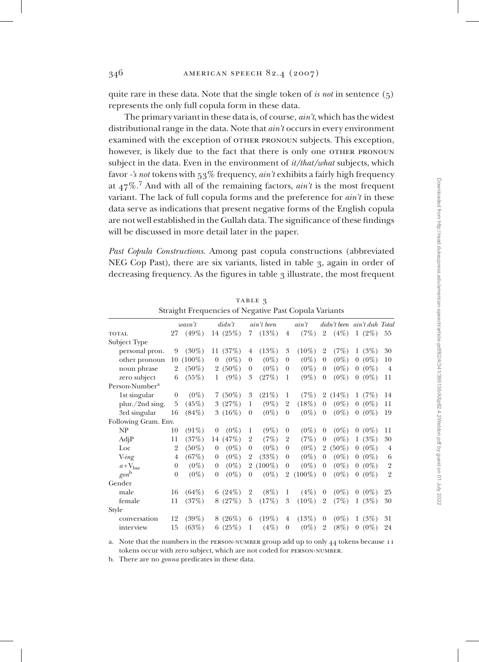quite rare in these data. Note that the single token of *is not* in sentence (5) represents the only full copula form in these data.

The primary variant in these data is, of course, *ain't*, which has the widest distributional range in the data. Note that *ain't* occurs in every environment examined with the exception of OTHER PRONOUN subjects. This exception, however, is likely due to the fact that there is only one OTHER PRONOUN subject in the data. Even in the environment of *it/that/what* subjects, which favor *-'s not* tokens with 53% frequency, *ain't* exhibits a fairly high frequency at  $47\%$ .<sup>7</sup> And with all of the remaining factors, *ain't* is the most frequent variant. The lack of full copula forms and the preference for *ain't* in these data serve as indications that present negative forms of the English copula are not well established in the Gullah data. The significance of these findings will be discussed in more detail later in the paper.

*Past Copula Constructions.* Among past copula constructions (abbreviated NEG Cop Past), there are six variants, listed in table 3, again in order of decreasing frequency. As the figures in table 3 illustrate, the most frequent

|                            |                | wasn't      |                | $d$ <i>i</i> $dn't$ |                | ain't been  |                  | ain't       |                  | didn't been ain't duh Total |          |                |
|----------------------------|----------------|-------------|----------------|---------------------|----------------|-------------|------------------|-------------|------------------|-----------------------------|----------|----------------|
| <b>TOTAL</b>               | 27             | $(49\%)$    |                | 14 (25%)            | 7              | (13%)       | $\overline{4}$   | (7%)        | $\overline{2}$   | (4%)                        | $1(2\%)$ | 55             |
| Subject Type               |                |             |                |                     |                |             |                  |             |                  |                             |          |                |
| personal pron.             | 9              | $(30\%)$    |                | 11(37%)             | 4              | (13%)       | 3                | $(10\%)$    | $\overline{2}$   | (7%)                        | $1(3\%)$ | 30             |
| other pronoun              |                | $10(100\%)$ | $\overline{0}$ | $(0\%)$             | $\theta$       | $(0\%)$     | $\theta$         | $(0\%)$     | $\theta$         | $(0\%)$                     | $0(0\%)$ | 10             |
| noun phrase                | $\overline{2}$ | $(50\%)$    |                | 2 $(50\%)$          | $\theta$       | $(0\%)$     | $\theta$         | $(0\%)$     | $\theta$         | $(0\%)$                     | $0(0\%)$ | $\overline{4}$ |
| zero subject               | 6              | $(55\%)$    | 1              | $(9\%)$             | 3              | (27%)       | 1                | $(9\%)$     | $\theta$         | $(0\%)$                     | $0(0\%)$ | 11             |
| Person-Number <sup>a</sup> |                |             |                |                     |                |             |                  |             |                  |                             |          |                |
| 1st singular               | $\theta$       | $(0\%)$     |                | $7(50\%)$           | 3              | $(21\%)$    | 1                | (7%)        |                  | 2 $(14%)$                   | 1(7%)    | 14             |
| plur./2nd sing.            | 5              | $(45\%)$    |                | 3(27%)              | 1              | $(9\%)$     | $\overline{2}$   | (18%)       | $\theta$         | $(0\%)$                     | $0(0\%)$ | 11             |
| 3rd singular               | 16             | $(84\%)$    |                | 3 $(16\%)$          | $\theta$       | $(0\%)$     | $\boldsymbol{0}$ | $(0\%)$     | $\boldsymbol{0}$ | $(0\%)$                     | $0(0\%)$ | 19             |
| Following Gram. Env.       |                |             |                |                     |                |             |                  |             |                  |                             |          |                |
| NP                         | 10             | $(91\%)$    | $\Omega$       | $(0\%)$             | 1              | $(9\%)$     | $\theta$         | $(0\%)$     | $\theta$         | $(0\%)$                     | $0(0\%)$ | 11             |
| AdjP                       | 11             | (37%)       | 14             | (47%)               | $\overline{2}$ | (7%)        | $\overline{2}$   | (7%)        | $\theta$         | $(0\%)$                     | $1(3\%)$ | 30             |
| Loc                        | $\overline{2}$ | $(50\%)$    | $\theta$       | $(0\%)$             | $\theta$       | $(0\%)$     | $\theta$         | $(0\%)$     | $\overline{2}$   | $(50\%)$                    | $0(0\%)$ | $\overline{4}$ |
| V-ing                      | $\overline{4}$ | (67%)       | $\theta$       | $(0\%)$             | $\overline{2}$ | (33%)       | $\theta$         | $(0\%)$     | $\theta$         | $(0\%)$                     | $0(0\%)$ | 6              |
| $a+\rm V_{bse}$            | $\theta$       | $(0\%)$     | $\theta$       | $(0\%)$             |                | 2 $(100\%)$ | $\theta$         | $(0\%)$     | $\theta$         | $(0\%)$                     | $0(0\%)$ | $\overline{2}$ |
| $\text{gon}^{\mathrm{b}}$  | $\theta$       | $(0\%)$     | $\Omega$       | $(0\%)$             | $\theta$       | $(0\%)$     |                  | 2 $(100\%)$ | $\theta$         | $(0\%)$                     | $0(0\%)$ | $\overline{2}$ |
| Gender                     |                |             |                |                     |                |             |                  |             |                  |                             |          |                |
| male                       | 16             | $(64\%)$    |                | 6 $(24%)$           | $\overline{2}$ | $(8\%)$     | 1                | (4%)        | $\theta$         | $(0\%)$                     | $0(0\%)$ | 25             |
| female                     | 11             | (37%)       |                | 8(27%)              | 5              | (17%)       | 3                | $(10\%)$    | $\overline{2}$   | (7%)                        | $1(3\%)$ | 30             |
| Style                      |                |             |                |                     |                |             |                  |             |                  |                             |          |                |
| conversation               | 12             | $(39\%)$    |                | 8(26%)              | 6              | $(19\%)$    | $\overline{4}$   | (13%)       | $\theta$         | $(0\%)$                     | $1(3\%)$ | 31             |
| interview                  | 15             | (63%)       |                | 6 $(25%)$           | 1              | (4%)        | $\boldsymbol{0}$ | $(0\%)$     | $\overline{2}$   | $(8\%)$                     | $0(0\%)$ | 24             |

TABLE 3 Straight Frequencies of Negative Past Copula Variants

a. Note that the numbers in the person-number group add up to only 44 tokens because 11 tokens occur with zero subject, which are not coded for person-number.

b. There are no *gonna* predicates in these data.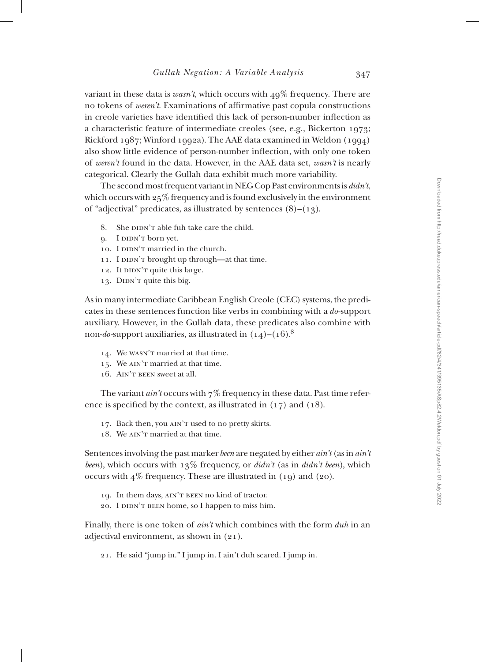variant in these data is *wasn't*, which occurs with 49% frequency. There are no tokens of *weren't*. Examinations of affirmative past copula constructions in creole varieties have identified this lack of person-number inflection as a characteristic feature of intermediate creoles (see, e.g., Bickerton 1973; Rickford 1987; Winford 1992a). The AAE data examined in Weldon (1994) also show little evidence of person-number inflection, with only one token of *weren't* found in the data. However, in the AAE data set, *wasn't* is nearly categorical. Clearly the Gullah data exhibit much more variability.

The second most frequent variant in NEG Cop Past environments is *didn't*, which occurs with  $25\%$  frequency and is found exclusively in the environment of "adjectival" predicates, as illustrated by sentences  $(8)$ – $(13)$ .

- 8. She DIDN'T able fuh take care the child.
- q. I didn't born yet.
- 10. I DIDN'T married in the church.
- 11. I DIDN'T brought up through—at that time.
- 12. It DIDN'T quite this large.
- 13. DIDN'T quite this big.

As in many intermediate Caribbean English Creole (CEC) systems, the predicates in these sentences function like verbs in combining with a *do*-support auxiliary. However, in the Gullah data, these predicates also combine with non-*do*-support auxiliaries, as illustrated in  $(14)$ – $(16)$ .<sup>8</sup>

- 14. We wasn't married at that time.
- 15. We ain't married at that time.
- 16. Ain't been sweet at all.

The variant *ain't* occurs with 7% frequency in these data. Past time reference is specified by the context, as illustrated in  $(17)$  and  $(18)$ .

- 17. Back then, you ain't used to no pretty skirts.
- 18. We AIN'T married at that time.

Sentences involving the past marker *been* are negated by either *ain't* (as in *ain't been*), which occurs with 13% frequency, or *didn't* (as in *didn't been*), which occurs with 4% frequency. These are illustrated in (19) and (20).

- 19. In them days, AIN'T BEEN no kind of tractor.
- 20. I DIDN'T BEEN home, so I happen to miss him.

Finally, there is one token of *ain't* which combines with the form *duh* in an adjectival environment, as shown in (21).

21. He said "jump in." I jump in. I ain't duh scared. I jump in.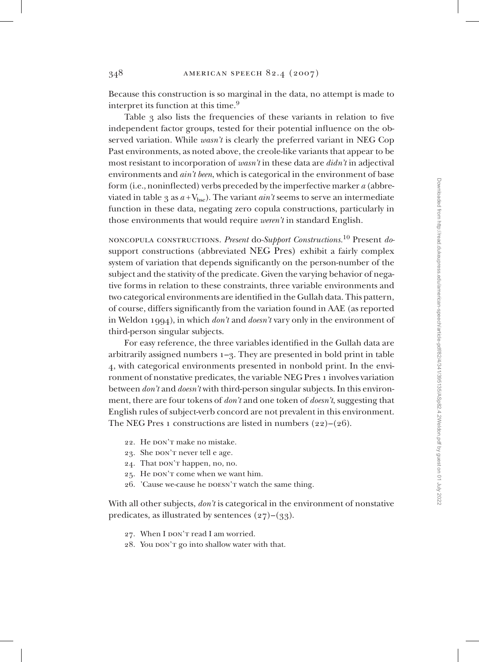Because this construction is so marginal in the data, no attempt is made to interpret its function at this time.<sup>9</sup>

Table 3 also lists the frequencies of these variants in relation to five independent factor groups, tested for their potential influence on the observed variation. While *wasn't* is clearly the preferred variant in NEG Cop Past environments, as noted above, the creole-like variants that appear to be most resistant to incorporation of *wasn't* in these data are *didn't* in adjectival environments and *ain't been*, which is categorical in the environment of base form (i.e., noninflected) verbs preceded by the imperfective marker *a* (abbreviated in table 3 as  $a + V_{\text{bse}}$ ). The variant  $\sin^2 t$  seems to serve an intermediate function in these data, negating zero copula constructions, particularly in those environments that would require *weren't* in standard English.

noncopula constructions. *Present* do*-Support Constructions.*10 Present *do*support constructions (abbreviated NEG Pres) exhibit a fairly complex system of variation that depends significantly on the person-number of the subject and the stativity of the predicate. Given the varying behavior of negative forms in relation to these constraints, three variable environments and two categorical environments are identified in the Gullah data. This pattern, of course, differs significantly from the variation found in AAE (as reported in Weldon 1994), in which *don't* and *doesn't* vary only in the environment of third-person singular subjects.

For easy reference, the three variables identified in the Gullah data are arbitrarily assigned numbers  $1-\gamma$ . They are presented in bold print in table 4, with categorical environments presented in nonbold print. In the environment of nonstative predicates, the variable NEG Pres 1 involves variation between *don't* and *doesn't* with third-person singular subjects. In this environment, there are four tokens of *don't* and one token of *doesn't*, suggesting that English rules of subject-verb concord are not prevalent in this environment. The NEG Pres 1 constructions are listed in numbers  $(22)$ – $(26)$ .

- 22. He DON'T make no mistake.
- 23. She DON'T never tell e age.
- 24. That DON'T happen, no, no.
- 25. He DON'T come when we want him.
- 26. 'Cause we-cause he DOESN'T watch the same thing.

With all other subjects, *don't* is categorical in the environment of nonstative predicates, as illustrated by sentences  $(27)$ – $(33)$ .

- 27. When I pon't read I am worried.
- 28. You DON't go into shallow water with that.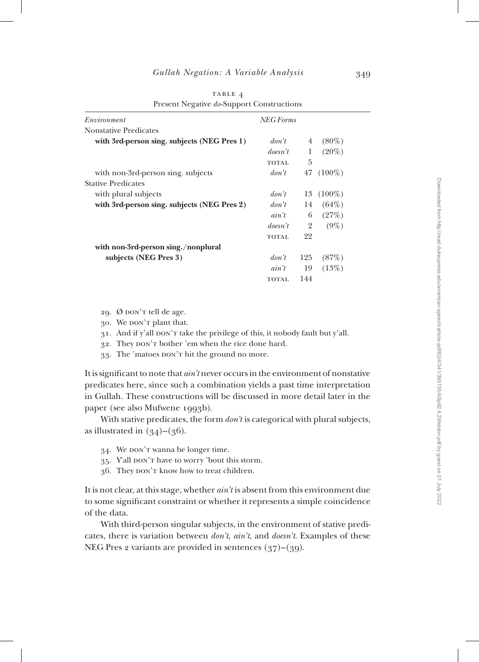| $\cdot$                                     |              |                |              |  |
|---------------------------------------------|--------------|----------------|--------------|--|
| Environment                                 | NEG Forms    |                |              |  |
| <b>Nonstative Predicates</b>                |              |                |              |  |
| with 3rd-person sing. subjects (NEG Pres 1) | don't        | 4              | $(80\%)$     |  |
|                                             | does n't     | 1              | $(20\%)$     |  |
|                                             | <b>TOTAL</b> | 5              |              |  |
| with non-3rd-person sing. subjects          | don't        |                | 47 $(100\%)$ |  |
| <b>Stative Predicates</b>                   |              |                |              |  |
| with plural subjects                        | don't        | 13             | $(100\%)$    |  |
| with 3rd-person sing. subjects (NEG Pres 2) | don't        | 14             | $(64\%)$     |  |
|                                             | ain't        | 6              | (27%)        |  |
|                                             | does n't     | $\overline{2}$ | $(9\%)$      |  |
|                                             | <b>TOTAL</b> | 22             |              |  |
| with non-3rd-person sing./nonplural         |              |                |              |  |
| subjects (NEG Pres 3)                       | don't        | 125            | (87%)        |  |
|                                             | ain't        | 19             | (13%)        |  |
|                                             | <b>TOTAL</b> | 144            |              |  |
|                                             |              |                |              |  |

TABLE 4 Present Negative *do*-Support Constructions

29. Ø  $\emptyset$  DON'T tell de age.

- 30. We pon't plant that.
- 31. And if y'all pon't take the privilege of this, it nobody fault but y'all.
- 32. They pon't bother 'em when the rice done hard.
- 33. The 'matoes pon't hit the ground no more.

It is significant to note that *ain't* never occurs in the environment of nonstative predicates here, since such a combination yields a past time interpretation in Gullah. These constructions will be discussed in more detail later in the paper (see also Mufwene 1993b).

With stative predicates, the form *don't* is categorical with plural subjects, as illustrated in  $(34)-(36)$ .

- 34. We pon't wanna be longer time.
- 35. Yall don't have to worry 'bout this storm.
- 36. They pon't know how to treat children.

It is not clear, at this stage, whether *ain't* is absent from this environment due to some significant constraint or whether it represents a simple coincidence of the data.

With third-person singular subjects, in the environment of stative predicates, there is variation between *don't*, *ain't*, and *doesn't*. Examples of these NEG Pres 2 variants are provided in sentences  $(37)-(39)$ .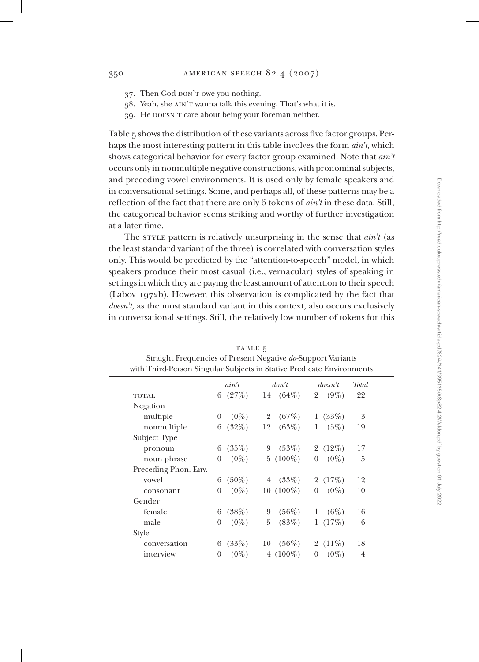- 37. Then God don't owe you nothing.
- 38. Yeah, she AIN'T wanna talk this evening. That's what it is.
- 39. He DOESN'T care about being your foreman neither.

Table 5 shows the distribution of these variants across five factor groups. Perhaps the most interesting pattern in this table involves the form *ain't*, which shows categorical behavior for every factor group examined. Note that *ain't* occurs only in nonmultiple negative constructions, with pronominal subjects, and preceding vowel environments. It is used only by female speakers and in conversational settings. Some, and perhaps all, of these patterns may be a reflection of the fact that there are only 6 tokens of *ain't* in these data. Still, the categorical behavior seems striking and worthy of further investigation at a later time.

The style pattern is relatively unsurprising in the sense that *ain't* (as the least standard variant of the three) is correlated with conversation styles only. This would be predicted by the "attention-to-speech" model, in which speakers produce their most casual (i.e., vernacular) styles of speaking in settings in which they are paying the least amount of attention to their speech (Labov 1972b). However, this observation is complicated by the fact that *doesn't*, as the most standard variant in this context, also occurs exclusively in conversational settings. Still, the relatively low number of tokens for this

| with Third-Person Singular Subjects in Stative Predicate Environments |                  |           |                |             |                |            |                |
|-----------------------------------------------------------------------|------------------|-----------|----------------|-------------|----------------|------------|----------------|
|                                                                       | ain't            |           | don't          |             |                | does n't   | <b>Total</b>   |
| <b>TOTAL</b>                                                          | 6                | (27%)     |                | 14 $(64\%)$ | $\overline{2}$ | $(9\%)$    | 22             |
| Negation                                                              |                  |           |                |             |                |            |                |
| multiple                                                              | $\boldsymbol{0}$ | $(0\%)$   | $\overline{2}$ | (67%)       |                | 1(33%)     | 3              |
| nonmultiple                                                           | 6                | (32%)     | 12             | (63%)       | 1              | (5%)       | 19             |
| Subject Type                                                          |                  |           |                |             |                |            |                |
| pronoun                                                               |                  | 6 $(35%)$ | 9              | (53%)       |                | $2(12\%)$  | 17             |
| noun phrase                                                           | $\theta$         | $(0\%)$   |                | $5(100\%)$  | $\overline{0}$ | $(0\%)$    | 5              |
| Preceding Phon. Env.                                                  |                  |           |                |             |                |            |                |
| vowel                                                                 | 6                | $(50\%)$  |                | 4(33%)      |                | 2(17%)     | 12             |
| consonant                                                             | $\theta$         | $(0\%)$   |                | $10(100\%)$ | $\overline{0}$ | $(0\%)$    | 10             |
| Gender                                                                |                  |           |                |             |                |            |                |
| female                                                                | 6                | (38%)     | 9              | $(56\%)$    | 1              | (6%)       | 16             |
| male                                                                  | $\theta$         | $(0\%)$   | 5              | (83%)       |                | 1(17%)     | 6              |
| Style                                                                 |                  |           |                |             |                |            |                |
| conversation                                                          | 6                | (33%)     | 10             | $(56\%)$    |                | 2 $(11\%)$ | 18             |
| interview                                                             | $\theta$         | $(0\%)$   |                | 4 $(100\%)$ | $\theta$       | $(0\%)$    | $\overline{4}$ |
|                                                                       |                  |           |                |             |                |            |                |

| TABLE <sub>5</sub>                                                    |
|-----------------------------------------------------------------------|
| Straight Frequencies of Present Negative do-Support Variants          |
| with Third-Person Singular Subjects in Stative Predicate Environments |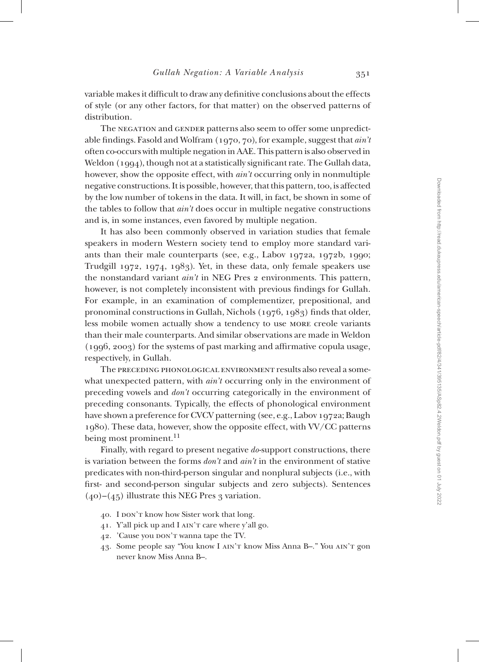variable makes it difficult to draw any definitive conclusions about the effects of style (or any other factors, for that matter) on the observed patterns of distribution.

The NEGATION and GENDER patterns also seem to offer some unpredictable findings. Fasold and Wolfram (1970, 70), for example, suggest that *ain't*  often co-occurs with multiple negation in AAE. This pattern is also observed in Weldon (1994), though not at a statistically significant rate. The Gullah data, however, show the opposite effect, with *ain't* occurring only in nonmultiple negative constructions. It is possible, however, that this pattern, too, is affected by the low number of tokens in the data. It will, in fact, be shown in some of the tables to follow that *ain't* does occur in multiple negative constructions and is, in some instances, even favored by multiple negation.

It has also been commonly observed in variation studies that female speakers in modern Western society tend to employ more standard variants than their male counterparts (see, e.g., Labov 1972a, 1972b, 1990; Trudgill 1972, 1974, 1983). Yet, in these data, only female speakers use the nonstandard variant *ain't* in NEG Pres 2 environments. This pattern, however, is not completely inconsistent with previous findings for Gullah. For example, in an examination of complementizer, prepositional, and pronominal constructions in Gullah, Nichols (1976, 1983) finds that older, less mobile women actually show a tendency to use more creole variants than their male counterparts. And similar observations are made in Weldon (1996, 2003) for the systems of past marking and affirmative copula usage, respectively, in Gullah.

The PRECEDING PHONOLOGICAL ENVIRONMENT results also reveal a somewhat unexpected pattern, with *ain't* occurring only in the environment of preceding vowels and *don't* occurring categorically in the environment of preceding consonants. Typically, the effects of phonological environment have shown a preference for CVCV patterning (see, e.g., Labov 1972a; Baugh 1980). These data, however, show the opposite effect, with VV/CC patterns being most prominent.<sup>11</sup>

Finally, with regard to present negative *do*-support constructions, there is variation between the forms *don't* and *ain't* in the environment of stative predicates with non-third-person singular and nonplural subjects (i.e., with first- and second-person singular subjects and zero subjects). Sentences  $(40)$ – $(45)$  illustrate this NEG Pres 3 variation.

- 40. I DON'T know how Sister work that long.
- 41. Y'all pick up and I ain't care where y'all go.
- 42. 'Cause you don't wanna tape the TV.
- 43. Some people say "You know I ain't know Miss Anna B–." You ain't gon never know Miss Anna B–.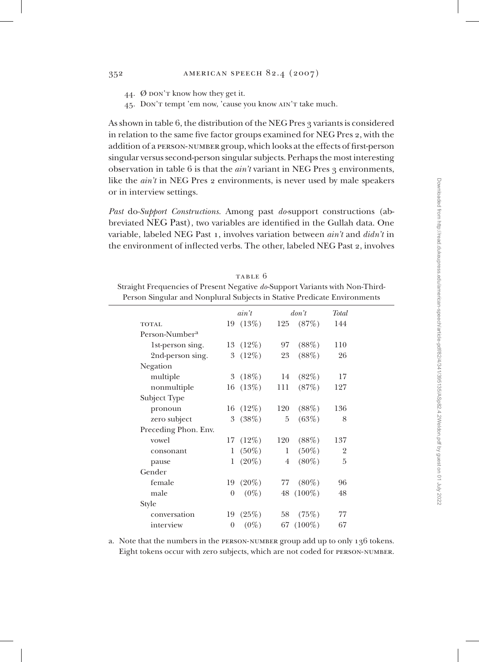- 44.  $\emptyset$  don't know how they get it.
- 45. Don't tempt 'em now, 'cause you know ain't take much.

As shown in table 6, the distribution of the NEG Pres 3 variants is considered in relation to the same five factor groups examined for NEG Pres 2, with the addition of a person-number group, which looks at the effects of first-person singular versus second-person singular subjects. Perhaps the most interesting observation in table 6 is that the *ain't* variant in NEG Pres 3 environments, like the *ain't* in NEG Pres 2 environments, is never used by male speakers or in interview settings.

*Past* do*-Support Constructions.* Among past *do-*support constructions (abbreviated NEG Past), two variables are identified in the Gullah data. One variable, labeled NEG Past 1, involves variation between *ain't* and *didn't* in the environment of inflected verbs. The other, labeled NEG Past 2, involves

| Person Singular and Nonphural Subjects in Stative Predicate Environments |                  |            |                |           |                |  |
|--------------------------------------------------------------------------|------------------|------------|----------------|-----------|----------------|--|
|                                                                          |                  | ain't      |                | don't     | <b>Total</b>   |  |
| <b>TOTAL</b>                                                             |                  | $19(13\%)$ | 125            | (87%)     | 144            |  |
| Person-Number <sup>a</sup>                                               |                  |            |                |           |                |  |
| 1st-person sing.                                                         |                  | 13 (12%)   | 97             | $(88\%)$  | 110            |  |
| 2nd-person sing.                                                         |                  | 3 $(12\%)$ | 23             | $(88\%)$  | 26             |  |
| Negation                                                                 |                  |            |                |           |                |  |
| multiple                                                                 |                  | 3 $(18%)$  | 14             | $(82\%)$  | 17             |  |
| nonmultiple                                                              |                  | 16(13%)    | 111            | (87%)     | 127            |  |
| Subject Type                                                             |                  |            |                |           |                |  |
| pronoun                                                                  |                  | 16 (12\%)  | 120            | $(88\%)$  | 136            |  |
| zero subject                                                             |                  | 3 $(38%)$  | 5              | (63%)     | 8              |  |
| Preceding Phon. Env.                                                     |                  |            |                |           |                |  |
| vowel                                                                    |                  | 17 (12%)   | 120            | (88%)     | 137            |  |
| consonant                                                                | 1                | $(50\%)$   | 1              | $(50\%)$  | $\overline{2}$ |  |
| pause                                                                    | 1                | $(20\%)$   | $\overline{4}$ | $(80\%)$  | 5              |  |
| Gender                                                                   |                  |            |                |           |                |  |
| female                                                                   |                  | $19(20\%)$ | 77             | $(80\%)$  | 96             |  |
| male                                                                     | $\boldsymbol{0}$ | $(0\%)$    |                | 48 (100%) | 48             |  |
| Style                                                                    |                  |            |                |           |                |  |
| conversation                                                             | 19               | (25%)      | 58             | (75%)     | 77             |  |
| interview                                                                | $\theta$         | $(0\%)$    |                | 67 (100%) | 67             |  |

table 6

Straight Frequencies of Present Negative *do*-Support Variants with Non-Third-Person Singular and Nonplural Subjects in Stative Predicate Environments

a. Note that the numbers in the person-number group add up to only 136 tokens. Eight tokens occur with zero subjects, which are not coded for person-number.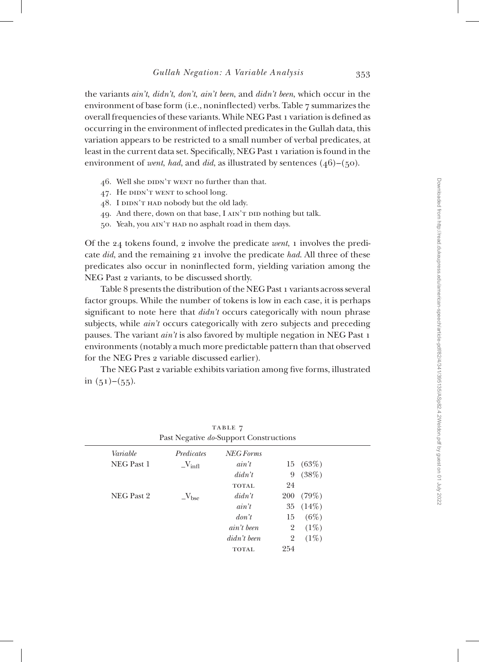the variants *ain't*, *didn't*, *don't*, *ain't been*, and *didn't been*, which occur in the environment of base form (i.e., noninflected) verbs. Table 7 summarizes the overall frequencies of these variants. While NEG Past 1 variation is defined as occurring in the environment of inflected predicates in the Gullah data, this variation appears to be restricted to a small number of verbal predicates, at least in the current data set. Specifically, NEG Past 1 variation is found in the environment of *went*, *had*, and *did*, as illustrated by sentences (46)–(50).

- 46. Well she DIDN'T WENT no further than that.
- 47. He DIDN'T WENT to school long.
- 48. I DIDN'T HAD nobody but the old lady.
- 49. And there, down on that base, I AIN'T DID nothing but talk.
- 50. Yeah, you ain't had no asphalt road in them days.

Of the 24 tokens found, 2 involve the predicate *went*, 1 involves the predicate *did*, and the remaining 21 involve the predicate *had*. All three of these predicates also occur in noninflected form, yielding variation among the NEG Past 2 variants, to be discussed shortly.

Table 8 presents the distribution of the NEG Past 1 variants across several factor groups. While the number of tokens is low in each case, it is perhaps significant to note here that *didn't* occurs categorically with noun phrase subjects, while *ain't* occurs categorically with zero subjects and preceding pauses. The variant *ain't* is also favored by multiple negation in NEG Past 1 environments (notably a much more predictable pattern than that observed for the NEG Pres 2 variable discussed earlier).

The NEG Past 2 variable exhibits variation among five forms, illustrated in  $(51)-(55)$ .

| Past Negative do-Support Constructions |                    |                     |                |             |  |  |
|----------------------------------------|--------------------|---------------------|----------------|-------------|--|--|
| Variable                               | Predicates         | NEG Forms           |                |             |  |  |
| NEG Past 1                             | $-V_{\text{infl}}$ | ain't               |                | 15(63%)     |  |  |
|                                        |                    | $d$ <i>i</i> $dn't$ | 9              | (38%)       |  |  |
|                                        |                    | <b>TOTAL</b>        | 24             |             |  |  |
| NEG Past 2                             | $-V_{\rm bse}$     | $d$ <i>i</i> $dn't$ |                | 200(79%)    |  |  |
|                                        |                    | ain't               |                | 35 $(14\%)$ |  |  |
|                                        |                    | don't               | 15             | (6%)        |  |  |
|                                        |                    | ain't been          | $\overline{2}$ | (1%)        |  |  |
|                                        |                    | didn't been         | $\overline{2}$ | (1%)        |  |  |
|                                        |                    | <b>TOTAL</b>        | 254            |             |  |  |

| TABLE 7                                |
|----------------------------------------|
| Past Negative do-Support Constructions |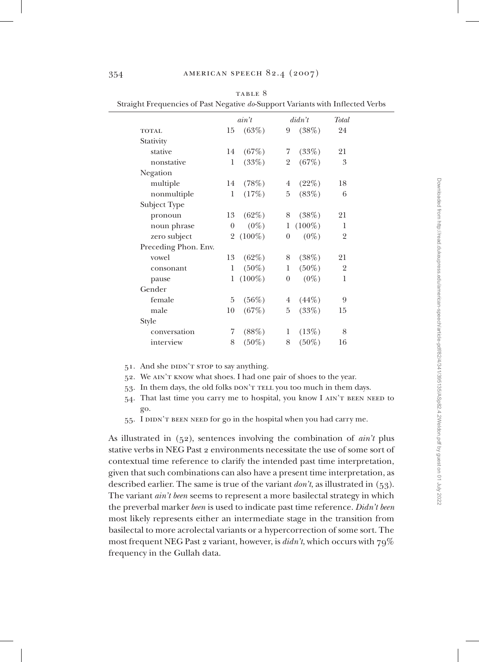| Down                               |
|------------------------------------|
|                                    |
| nlo.<br>١                          |
| j<br>i<br>١                        |
| ś<br>ä                             |
| j<br>uo.                           |
|                                    |
| i<br>š                             |
| i<br>Ď                             |
| i<br>ì<br>ì                        |
| j<br>ļ                             |
| keu                                |
| ć<br>ţ                             |
| $\overline{\phantom{a}}$<br>j<br>١ |
| Ş<br>j<br>j<br>I                   |
| i<br>ĺ<br>j                        |
| à                                  |
| į<br>$\overline{ }$                |
| $\frac{1}{2}$<br>ś                 |
| ì<br>i                             |
| j<br>see.                          |
|                                    |
| È<br>j<br>ŀ                        |
|                                    |
| I<br>$\ddot{ }$<br>ï               |
| ì,<br>ł<br>ś<br>ì                  |
| Į<br>ï<br>Ó                        |
| ļ<br>ś                             |
| ¢                                  |
| J                                  |
| i<br>Š<br>j                        |
| ١                                  |
| ¢<br>$\ddot{\phantom{a}}$<br>í     |
| ن<br>ج                             |
| I                                  |
| ļ<br>í                             |
| ļ                                  |
| I<br>1                             |
| j<br>ł<br>ś                        |
| ţ<br>ł                             |
| ì<br>ì<br>1                        |
| ζ<br>ÿ<br>ś                        |
|                                    |
| anest                              |
| $\leq$                             |
| ¢<br>j                             |
| ī<br>í                             |
| ś<br>٦                             |
| l<br>ž                             |
| í<br>I                             |

| TABLE 8                                                                        |
|--------------------------------------------------------------------------------|
| Straight Frequencies of Past Negative do-Support Variants with Inflected Verbs |

|                      |          | ain't       |                | $d$ <i>i</i> $dn't$ | <b>Total</b>   |
|----------------------|----------|-------------|----------------|---------------------|----------------|
| <b>TOTAL</b>         | 15       | (63%)       | 9              | (38%)               | 24             |
| Stativity            |          |             |                |                     |                |
| stative              | 14       | (67%)       | 7              | (33%)               | 21             |
| nonstative           | 1        | (33%)       | $\overline{2}$ | (67%)               | 3              |
| Negation             |          |             |                |                     |                |
| multiple             | 14       | (78%)       | $\overline{4}$ | (22%)               | 18             |
| nonmultiple          | 1        | (17%)       | 5              | (83%)               | 6              |
| Subject Type         |          |             |                |                     |                |
| pronoun              | 13       | $(62\%)$    | 8              | (38%)               | 21             |
| noun phrase          | $\theta$ | $(0\%)$     | 1              | $(100\%)$           | 1              |
| zero subject         |          | 2 $(100\%)$ | $\theta$       | $(0\%)$             | $\overline{2}$ |
| Preceding Phon. Env. |          |             |                |                     |                |
| vowel                | 13       | (62%)       | 8              | (38%)               | 21             |
| consonant            | 1        | $(50\%)$    | 1              | $(50\%)$            | $\overline{2}$ |
| pause                | 1        | $(100\%)$   | $\theta$       | $(0\%)$             | 1              |
| Gender               |          |             |                |                     |                |
| female               | 5        | (56%)       | $\overline{4}$ | $(44\%)$            | 9              |
| male                 | 10       | (67%)       | 5              | (33%)               | 15             |
| Style                |          |             |                |                     |                |
| conversation         | 7        | (88%)       | 1              | (13%)               | 8              |
| interview            | 8        | $(50\%)$    | 8              | $(50\%)$            | 16             |

51. And she DIDN'T STOP to say anything.

- 52. We ain't know what shoes. I had one pair of shoes to the year.
- 53. In them days, the old folks pon't tell you too much in them days.
- 54. That last time you carry me to hospital, you know I AIN'T BEEN NEED to go.
- 55. I DIDN'T BEEN NEED for go in the hospital when you had carry me.

As illustrated in (52), sentences involving the combination of *ain't* plus stative verbs in NEG Past 2 environments necessitate the use of some sort of contextual time reference to clarify the intended past time interpretation, given that such combinations can also have a present time interpretation, as described earlier. The same is true of the variant *don't*, as illustrated in (53). The variant *ain't been* seems to represent a more basilectal strategy in which the preverbal marker *been* is used to indicate past time reference. *Didn't been* most likely represents either an intermediate stage in the transition from basilectal to more acrolectal variants or a hypercorrection of some sort. The most frequent NEG Past 2 variant, however, is *didn't*, which occurs with 79% frequency in the Gullah data.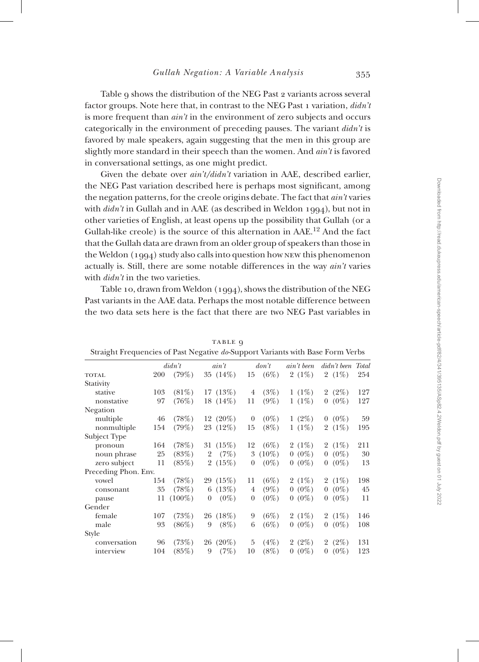Table 9 shows the distribution of the NEG Past 2 variants across several factor groups. Note here that, in contrast to the NEG Past 1 variation, *didn't* is more frequent than *ain't* in the environment of zero subjects and occurs categorically in the environment of preceding pauses. The variant *didn't* is favored by male speakers, again suggesting that the men in this group are slightly more standard in their speech than the women. And *ain't* is favored in conversational settings, as one might predict.

Given the debate over *ain't/didn't* variation in AAE, described earlier, the NEG Past variation described here is perhaps most significant, among the negation patterns, for the creole origins debate. The fact that *ain't* varies with *didn't* in Gullah and in AAE (as described in Weldon 1994), but not in other varieties of English, at least opens up the possibility that Gullah (or a Gullah-like creole) is the source of this alternation in AAE. <sup>12</sup> And the fact that the Gullah data are drawn from an older group of speakers than those in the Weldon (1994) study also calls into question how new this phenomenon actually is. Still, there are some notable differences in the way *ain't* varies with *didn't* in the two varieties.

Table 10, drawn from Weldon (1994), shows the distribution of the NEG Past variants in the AAE data. Perhaps the most notable difference between the two data sets here is the fact that there are two NEG Past variables in

|                      |     | Straight Frequencies of Past Negative do-Support Variants with Base Form Verbs |                |             |                |          |            |  |                   |     |
|----------------------|-----|--------------------------------------------------------------------------------|----------------|-------------|----------------|----------|------------|--|-------------------|-----|
|                      |     | $d$ <i>i</i> $dn't$                                                            |                | ain't       |                | don't    | ain't been |  | didn't been Total |     |
| <b>TOTAL</b>         | 200 | $(79\%)$                                                                       |                | $35(14\%)$  | 15             | $(6\%)$  | $2(1\%)$   |  | 2 $(1%)$          | 254 |
| Stativity            |     |                                                                                |                |             |                |          |            |  |                   |     |
| stative              | 103 | $(81\%)$                                                                       |                | $17(13\%)$  | $\overline{4}$ | $(3\%)$  | $1(1\%)$   |  | $2(2\%)$          | 127 |
| nonstative           | 97  | $(76\%)$                                                                       |                | 18 $(14\%)$ | 11             | $(9\%)$  | $1(1\%)$   |  | $0(0\%)$          | 127 |
| Negation             |     |                                                                                |                |             |                |          |            |  |                   |     |
| multiple             | 46  | (78%)                                                                          |                | $12(20\%)$  | $\theta$       | $(0\%)$  | $1(2\%)$   |  | $0(0\%)$          | 59  |
| nonmultiple          | 154 | $(79\%)$                                                                       |                | 23 (12%)    | 15             | $(8\%)$  | $1(1\%)$   |  | 2 $(1%)$          | 195 |
| Subject Type         |     |                                                                                |                |             |                |          |            |  |                   |     |
| pronoun              | 164 | (78%)                                                                          |                | $31(15\%)$  | 12             | $(6\%)$  | $2(1\%)$   |  | 2 $(1%)$          | 211 |
| noun phrase          | 25  | (83%)                                                                          | $\overline{2}$ | (7%)        | 3              | $(10\%)$ | $0(0\%)$   |  | $0(0\%)$          | 30  |
| zero subject         | 11  | $(85\%)$                                                                       |                | 2(15%)      | $\theta$       | $(0\%)$  | $0(0\%)$   |  | $0(0\%)$          | 13  |
| Preceding Phon. Env. |     |                                                                                |                |             |                |          |            |  |                   |     |
| vowel                | 154 | (78%)                                                                          |                | 29 (15%)    | 11             | $(6\%)$  | $2(1\%)$   |  | 2 $(1%)$          | 198 |
| consonant            | 35  | (78%)                                                                          |                | 6(13%)      | $\overline{4}$ | $(9\%)$  | $0(0\%)$   |  | $0(0\%)$          | 45  |
| pause                | 11  | $(100\%)$                                                                      | $\theta$       | $(0\%)$     | $\theta$       | $(0\%)$  | $0(0\%)$   |  | $0(0\%)$          | 11  |
| Gender               |     |                                                                                |                |             |                |          |            |  |                   |     |
| female               | 107 | (73%)                                                                          |                | 26 (18%)    | 9              | $(6\%)$  | $2(1\%)$   |  | 2 $(1%)$          | 146 |
| male                 | 93  | $(86\%)$                                                                       | 9              | $(8\%)$     | 6              | $(6\%)$  | $0(0\%)$   |  | $0(0\%)$          | 108 |
| Style                |     |                                                                                |                |             |                |          |            |  |                   |     |
| conversation         | 96  | (73%)                                                                          |                | $26(20\%)$  | 5              | (4%)     | $2(2\%)$   |  | $2(2\%)$          | 131 |
| interview            | 104 | (85%)                                                                          | 9              | (7%)        | 10             | $(8\%)$  | $0(0\%)$   |  | $0(0\%)$          | 123 |

TABLE Q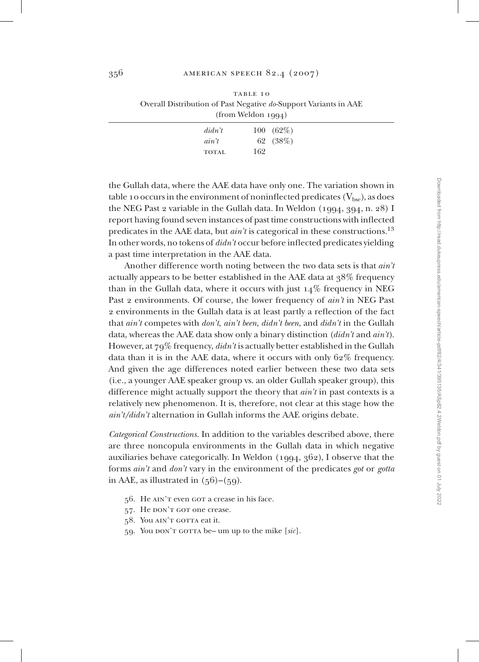| TABLE 10                                                         |
|------------------------------------------------------------------|
| Overall Distribution of Past Negative do-Support Variants in AAE |
| $(from$ Weldon $1994)$                                           |

|                     |     | .           |
|---------------------|-----|-------------|
| $d$ <i>i</i> $dn't$ |     | $100(62\%)$ |
| ain't               |     | 62 $(38%)$  |
| <b>TOTAL</b>        | 162 |             |

the Gullah data, where the AAE data have only one. The variation shown in table 10 occurs in the environment of noninflected predicates  $(V_{\text{bse}})$ , as does the NEG Past 2 variable in the Gullah data. In Weldon (1994, 394, n. 28) I report having found seven instances of past time constructions with inflected predicates in the AAE data, but *ain't* is categorical in these constructions.<sup>13</sup> In other words, no tokens of *didn't* occur before inflected predicates yielding a past time interpretation in the AAE data.

Another difference worth noting between the two data sets is that *ain't* actually appears to be better established in the AAE data at 38% frequency than in the Gullah data, where it occurs with just  $14\%$  frequency in NEG Past 2 environments. Of course, the lower frequency of *ain't* in NEG Past 2 environments in the Gullah data is at least partly a reflection of the fact that *ain't* competes with *don't*, *ain't been*, *didn't been*, and *didn't* in the Gullah data, whereas the AAE data show only a binary distinction (*didn't* and *ain't*). However, at 79% frequency, *didn't* is actually better established in the Gullah data than it is in the AAE data, where it occurs with only 62% frequency. And given the age differences noted earlier between these two data sets (i.e., a younger AAE speaker group vs. an older Gullah speaker group), this difference might actually support the theory that *ain't* in past contexts is a relatively new phenomenon. It is, therefore, not clear at this stage how the *ain't/didn't* alternation in Gullah informs the AAE origins debate.

*Categorical Constructions.* In addition to the variables described above, there are three noncopula environments in the Gullah data in which negative auxiliaries behave categorically. In Weldon (1994, 362), I observe that the forms *ain't* and *don't* vary in the environment of the predicates *got* or *gotta* in AAE, as illustrated in  $(56)-(59)$ .

- 56. He AIN'T even GOT a crease in his face.
- 57. He DON'T GOT one crease.
- 58. You AIN'T GOTTA eat it.
- 59. You don't gotta be– um up to the mike [sic].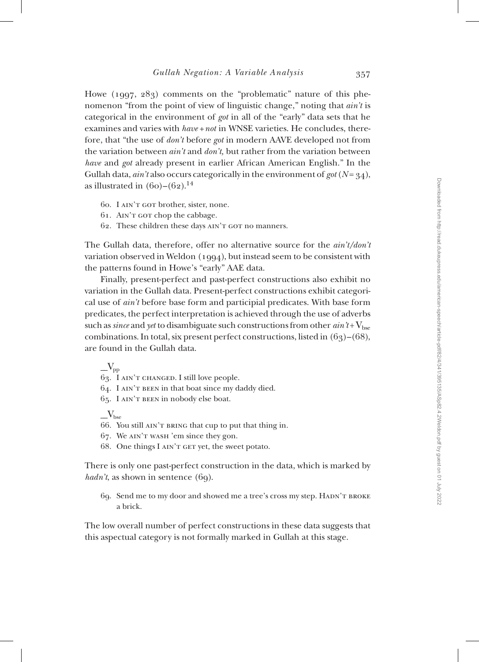Howe (1997, 283) comments on the "problematic" nature of this phenomenon "from the point of view of linguistic change," noting that *ain't* is categorical in the environment of *got* in all of the "early" data sets that he examines and varies with *have + not* in WNSE varieties. He concludes, therefore, that "the use of *don't* before *got* in modern AAVE developed not from the variation between *ain't* and *don't,* but rather from the variation between *have* and *got* already present in earlier African American English." In the Gullah data,  $\sin^2 t$  also occurs categorically in the environment of  $\cot(N = 34)$ , as illustrated in  $(60)$ – $(62)$ .<sup>14</sup>

- 60. I ain't got brother, sister, none.
- 61. Ain't got chop the cabbage.
- 62. These children these days ain't got no manners.

The Gullah data, therefore, offer no alternative source for the *ain't/don't* variation observed in Weldon (1994), but instead seem to be consistent with the patterns found in Howe's "early" AAE data.

Finally, present-perfect and past-perfect constructions also exhibit no variation in the Gullah data. Present-perfect constructions exhibit categorical use of *ain't* before base form and participial predicates. With base form predicates, the perfect interpretation is achieved through the use of adverbs such as *since* and *yet* to disambiguate such constructions from other  $ain't + V_{\text{bse}}$ combinations. In total, six present perfect constructions, listed in  $(63)$ – $(68)$ , are found in the Gullah data.

 $\sqrt{v_{\rm pp}}$ 

- 63. I AIN'T CHANGED. I still love people.
- 64. I AIN'T BEEN in that boat since my daddy died.
- 65. I ain't been in nobody else boat.

 $-V_{\text{bse}}$ 

- 66. You still AIN'T BRING that cup to put that thing in.
- 67. We ain't wash 'em since they gon.
- 68. One things I AIN'T GET yet, the sweet potato.

There is only one past-perfect construction in the data, which is marked by *hadn't*, as shown in sentence (69).

69. Send me to my door and showed me a tree's cross my step. HADN'T BROKE a brick.

The low overall number of perfect constructions in these data suggests that this aspectual category is not formally marked in Gullah at this stage.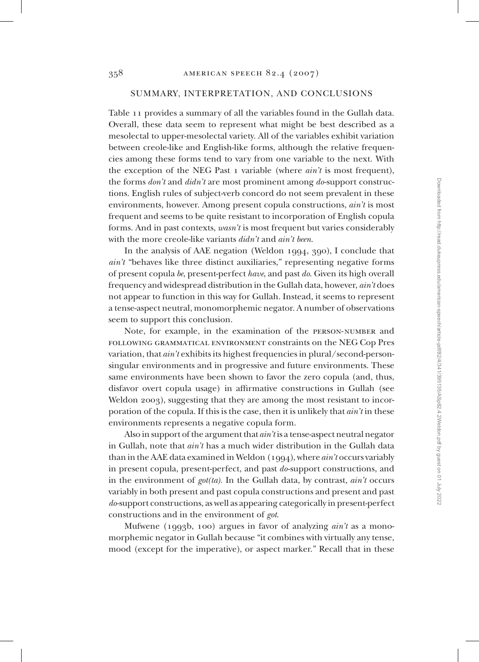## SUMMARY, INTERPRETATION, AND CONCLUSIONS

Table 11 provides a summary of all the variables found in the Gullah data. Overall, these data seem to represent what might be best described as a mesolectal to upper-mesolectal variety. All of the variables exhibit variation between creole-like and English-like forms, although the relative frequencies among these forms tend to vary from one variable to the next. With the exception of the NEG Past 1 variable (where *ain't* is most frequent), the forms *don't* and *didn't* are most prominent among *do*-support constructions. English rules of subject-verb concord do not seem prevalent in these environments, however. Among present copula constructions, *ain't* is most frequent and seems to be quite resistant to incorporation of English copula forms. And in past contexts, *wasn't* is most frequent but varies considerably with the more creole-like variants *didn't* and *ain't been*.

In the analysis of AAE negation (Weldon 1994, 390), I conclude that *ain't* "behaves like three distinct auxiliaries," representing negative forms of present copula *be*, present-perfect *have*, and past *do*. Given its high overall frequency and widespread distribution in the Gullah data, however, *ain't* does not appear to function in this way for Gullah. Instead, it seems to represent a tense-aspect neutral, monomorphemic negator. A number of observations seem to support this conclusion.

Note, for example, in the examination of the person-number and following grammatical environment constraints on the NEG Cop Pres variation, that *ain't* exhibits its highest frequencies in plural/second-personsingular environments and in progressive and future environments. These same environments have been shown to favor the zero copula (and, thus, disfavor overt copula usage) in affirmative constructions in Gullah (see Weldon 2003), suggesting that they are among the most resistant to incorporation of the copula. If this is the case, then it is unlikely that *ain't* in these environments represents a negative copula form.

Also in support of the argument that *ain't* is a tense-aspect neutral negator in Gullah, note that *ain't* has a much wider distribution in the Gullah data than in the AAE data examined in Weldon (1994), where *ain't* occurs variably in present copula, present-perfect, and past *do*-support constructions, and in the environment of *got(ta).* In the Gullah data, by contrast, *ain't* occurs variably in both present and past copula constructions and present and past *do*-support constructions, as well as appearing categorically in present-perfect constructions and in the environment of *got*.

Mufwene (1993b, 100) argues in favor of analyzing *ain't* as a monomorphemic negator in Gullah because "it combines with virtually any tense, mood (except for the imperative), or aspect marker." Recall that in these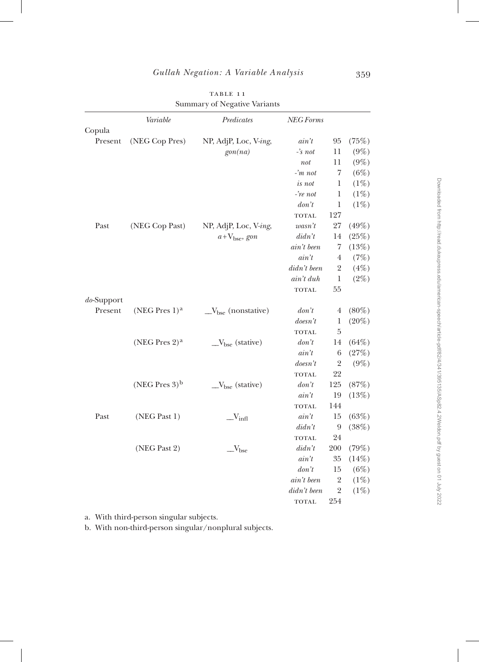$\overline{\phantom{a}}$ 

|            | Variable         | Predicates                          | NEG Forms                                            |                |          |
|------------|------------------|-------------------------------------|------------------------------------------------------|----------------|----------|
| Copula     |                  |                                     |                                                      |                |          |
| Present    | (NEG Cop Pres)   | NP, AdjP, Loc, V-ing,               | ain't                                                | 95             | (75%)    |
|            |                  | gon(na)                             | $\sim$ s not                                         | $11\,$         | $(9\%)$  |
|            |                  |                                     | not                                                  | 11             | $(9\%)$  |
|            |                  |                                     | $\frac{1}{2}$ not                                    | 7              | $(6\%)$  |
|            |                  |                                     | is not                                               | $\mathbf 1$    | $(1\%)$  |
|            |                  |                                     | $\lnot$ re not                                       | $\mathbf{1}$   | (1%)     |
|            |                  |                                     | don't                                                | $\mathbf{1}$   | (1%)     |
|            |                  |                                     | <b>TOTAL</b>                                         | 127            |          |
| Past       | (NEG Cop Past)   | NP, AdjP, Loc, V-ing,               | wash't                                               | 27             | (49%)    |
|            |                  | $a+\mathrm{V}_{\mathrm{bse}}$ , gon | $d$ <i>i</i> $dn't$                                  | 14             | (25%)    |
|            |                  |                                     | ain't been                                           | 7              | (13%)    |
|            |                  |                                     | ain't                                                | $\overline{4}$ | (7%)     |
|            |                  |                                     | didn't been                                          | $\overline{2}$ | (4%)     |
|            |                  |                                     | ain't duh                                            | $\mathbf 1$    | $(2\%)$  |
|            |                  |                                     | <b>TOTAL</b>                                         | 55             |          |
| do-Support |                  |                                     |                                                      |                |          |
| Present    | (NEG Pres $1)^a$ | $-V_{\text{bse}}$ (nonstative)      | $don't$                                              | $\overline{4}$ | $(80\%)$ |
|            |                  |                                     | does n't                                             | 1              | $(20\%)$ |
|            |                  |                                     | <b>TOTAL</b>                                         | 5              |          |
|            | (NEG Pres $2)^a$ | $\_V_{\mathrm{bse}}$ (stative)      | don't                                                | 14             | (64%)    |
|            |                  |                                     | ain't                                                | 6              | (27%)    |
|            |                  |                                     | does n't                                             | $\overline{2}$ | $(9\%)$  |
|            |                  |                                     | <b>TOTAL</b>                                         | 22             |          |
|            | (NEG Pres $3)^b$ | $-V_{\text{bse}}$ (stative)         | don't                                                | 125            | (87%)    |
|            |                  |                                     | ain't                                                | 19             | (13%)    |
|            |                  |                                     | <b>TOTAL</b>                                         | 144            |          |
| Past       | (NEG Past 1)     | $-Vinfl$                            | ain't                                                | 15             | (63%)    |
|            |                  |                                     | $d$ <i>i</i> $dn$ <sup><math>\prime</math></sup> $t$ | 9              | (38%)    |
|            |                  |                                     | <b>TOTAL</b>                                         | 24             |          |
|            | (NEG Past 2)     | $-V_{\text{bse}}$                   | $d$ <i>i</i> $dn$ <sup><math>\prime</math></sup> $t$ | $200\,$        | (79%)    |
|            |                  |                                     | ain't                                                | 35             | (14%)    |
|            |                  |                                     | don't                                                | 15             | (6%)     |
|            |                  |                                     | $\emph{ain't been}$                                  | $\overline{2}$ | (1%)     |
|            |                  |                                     | didn't been                                          | $\overline{2}$ | (1%)     |
|            |                  |                                     | <b>TOTAL</b>                                         | 254            |          |

# TABLE 11 Summary of Negative Variants

a. With third-person singular subjects.

b. With non-third-person singular/nonplural subjects.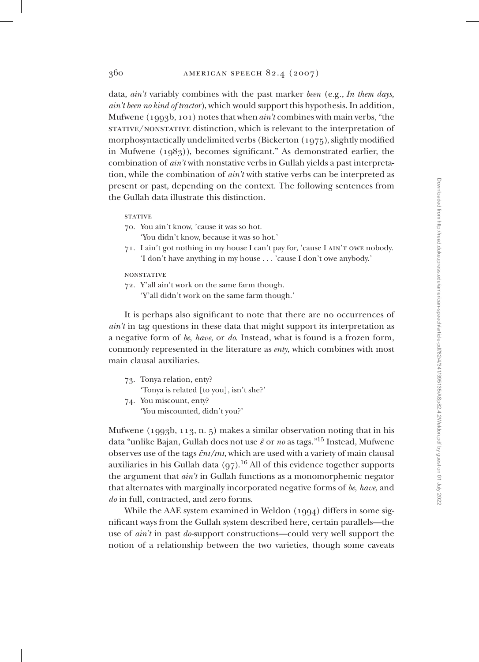data, *ain't* variably combines with the past marker *been* (e.g., *In them days, ain't been no kind of tractor*), which would support this hypothesis. In addition, Mufwene (1993b, 101) notes that when *ain't* combines with main verbs, "the stative/nonstative distinction, which is relevant to the interpretation of morphosyntactically undelimited verbs (Bickerton (1975), slightly modified in Mufwene (1983)), becomes significant." As demonstrated earlier, the combination of *ain't* with nonstative verbs in Gullah yields a past interpretation, while the combination of *ain't* with stative verbs can be interpreted as present or past, depending on the context. The following sentences from the Gullah data illustrate this distinction.

#### **STATIVE**

- 70. You ain't know, 'cause it was so hot. 'You didn't know, because it was so hot.'
- 71. I ain't got nothing in my house I can't pay for, 'cause I ain't owe nobody. 'I don't have anything in my house . . . 'cause I don't owe anybody.'

### nonstative

72. Y'all ain't work on the same farm though.

'Y'all didn't work on the same farm though.'

It is perhaps also significant to note that there are no occurrences of *ain't* in tag questions in these data that might support its interpretation as a negative form of *be*, *have*, or *do*. Instead, what is found is a frozen form, commonly represented in the literature as *enty*, which combines with most main clausal auxiliaries.

- 73. Tonya relation, enty? 'Tonya is related [to you], isn't she?' 74. You miscount, enty?
	- 'You miscounted, didn't you?'

Mufwene  $(1993b, 113, n. 5)$  makes a similar observation noting that in his data "unlike Bajan, Gullah does not use  $\tilde{\varepsilon}$  or *no* as tags."<sup>15</sup> Instead, Mufwene observes use of the tags  $\tilde{\varepsilon}nI/mI$ , which are used with a variety of main clausal auxiliaries in his Gullah data  $(q7)$ .<sup>16</sup> All of this evidence together supports the argument that *ain't* in Gullah functions as a monomorphemic negator that alternates with marginally incorporated negative forms of *be*, *have*, and *do* in full, contracted, and zero forms.

While the AAE system examined in Weldon (1994) differs in some significant ways from the Gullah system described here, certain parallels—the use of *ain't* in past *do*-support constructions—could very well support the notion of a relationship between the two varieties, though some caveats

Downloaded from http://read.dukeupress.edu/american-speech/article-pdf/82/4/395135/ASp82.4.2Weldon.pdf by guest on 01 July 2022 Downloaded from http://read.dukeupress.edu/american-speech/article-pdf/82/4/341/395135/ASp82.4.2Weldon.pdf by guest on 01 July 2022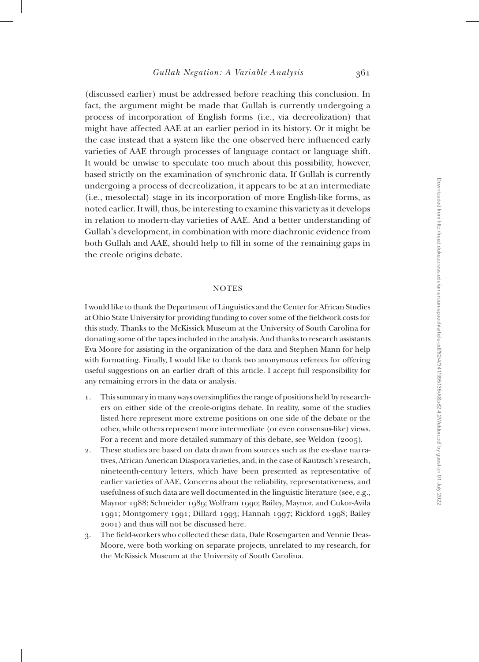(discussed earlier) must be addressed before reaching this conclusion. In fact, the argument might be made that Gullah is currently undergoing a process of incorporation of English forms (i.e., via decreolization) that might have affected AAE at an earlier period in its history. Or it might be the case instead that a system like the one observed here influenced early varieties of AAE through processes of language contact or language shift. It would be unwise to speculate too much about this possibility, however, based strictly on the examination of synchronic data. If Gullah is currently undergoing a process of decreolization, it appears to be at an intermediate (i.e., mesolectal) stage in its incorporation of more English-like forms, as noted earlier. It will, thus, be interesting to examine this variety as it develops in relation to modern-day varieties of AAE. And a better understanding of Gullah's development, in combination with more diachronic evidence from both Gullah and AAE, should help to fill in some of the remaining gaps in the creole origins debate.

## NOTES

I would like to thank the Department of Linguistics and the Center for African Studies at Ohio State University for providing funding to cover some of the fieldwork costs for this study. Thanks to the McKissick Museum at the University of South Carolina for donating some of the tapes included in the analysis. And thanks to research assistants Eva Moore for assisting in the organization of the data and Stephen Mann for help with formatting. Finally, I would like to thank two anonymous referees for offering useful suggestions on an earlier draft of this article. I accept full responsibility for any remaining errors in the data or analysis.

- 1. This summary in many ways oversimplifies the range of positions held by researchers on either side of the creole-origins debate. In reality, some of the studies listed here represent more extreme positions on one side of the debate or the other, while others represent more intermediate (or even consensus-like) views. For a recent and more detailed summary of this debate, see Weldon (2005).
- 2. These studies are based on data drawn from sources such as the ex-slave narratives, African American Diaspora varieties, and, in the case of Kautzsch's research, nineteenth-century letters, which have been presented as representative of earlier varieties of AAE. Concerns about the reliability, representativeness, and usefulness of such data are well documented in the linguistic literature (see, e.g., Maynor 1988; Schneider 1989; Wolfram 1990; Bailey, Maynor, and Cukor-Avila 1991; Montgomery 1991; Dillard 1993; Hannah 1997; Rickford 1998; Bailey 2001) and thus will not be discussed here.
- 3. The field-workers who collected these data, Dale Rosengarten and Vennie Deas-Moore, were both working on separate projects, unrelated to my research, for the McKissick Museum at the University of South Carolina.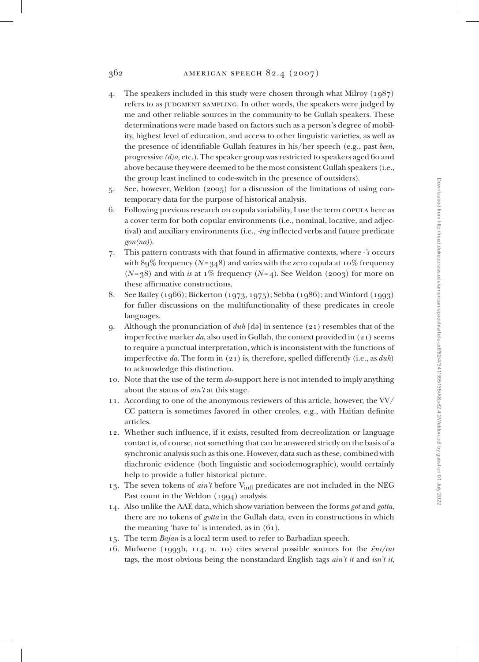- 4. The speakers included in this study were chosen through what Milroy (1987) refers to as JUDGMENT SAMPLING. In other words, the speakers were judged by me and other reliable sources in the community to be Gullah speakers. These determinations were made based on factors such as a person's degree of mobility, highest level of education, and access to other linguistic varieties, as well as the presence of identifiable Gullah features in his/her speech (e.g., past *been*, progressive *(d)a*, etc.). The speaker group was restricted to speakers aged 60 and above because they were deemed to be the most consistent Gullah speakers (i.e., the group least inclined to code-switch in the presence of outsiders).
- 5. See, however, Weldon (2005) for a discussion of the limitations of using contemporary data for the purpose of historical analysis.
- 6. Following previous research on copula variability, I use the term copula here as a cover term for both copular environments (i.e., nominal, locative, and adjectival) and auxiliary environments (i.e., *-ing* inflected verbs and future predicate *gon(na)*).
- 7. This pattern contrasts with that found in affirmative contexts, where *-'s* occurs with  $89\%$  frequency ( $N = 348$ ) and varies with the zero copula at 10% frequency  $(N=38)$  and with *is* at 1% frequency  $(N=4)$ . See Weldon (2003) for more on these affirmative constructions.
- 8. See Bailey (1966); Bickerton (1973, 1975); Sebba (1986); and Winford (1993) for fuller discussions on the multifunctionality of these predicates in creole languages.
- 9. Although the pronunciation of *duh* [də] in sentence (21) resembles that of the imperfective marker *da*, also used in Gullah, the context provided in (21) seems to require a punctual interpretation, which is inconsistent with the functions of imperfective *da.* The form in (21) is, therefore, spelled differently (i.e., as *duh*) to acknowledge this distinction.
- 10. Note that the use of the term *do*-support here is not intended to imply anything about the status of *ain't* at this stage.
- 11. According to one of the anonymous reviewers of this article, however, the VV/ CC pattern is sometimes favored in other creoles, e.g., with Haitian definite articles.
- 12. Whether such influence, if it exists, resulted from decreolization or language contact is, of course, not something that can be answered strictly on the basis of a synchronic analysis such as this one. However, data such as these, combined with diachronic evidence (both linguistic and sociodemographic), would certainly help to provide a fuller historical picture.
- 13. The seven tokens of *ain't* before V<sub>infl</sub> predicates are not included in the NEG Past count in the Weldon (1994) analysis.
- 14. Also unlike the AAE data, which show variation between the forms *got* and *gotta*, there are no tokens of *gotta* in the Gullah data, even in constructions in which the meaning 'have to' is intended, as in (61).
- 15. The term *Bajan* is a local term used to refer to Barbadian speech.
- 16. Mufwene (1993b, 114, n. 10) cites several possible sources for the  $\tilde{\varepsilon}nI/mI$ tags, the most obvious being the nonstandard English tags *ain't it* and *isn't it*,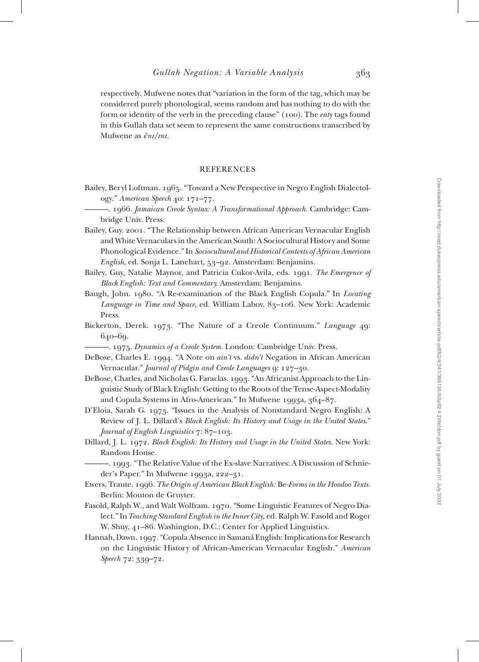respectively. Mufwene notes that "variation in the form of the tag, which may be considered purely phonological, seems random and has nothing to do with the form or identity of the verb in the preceding clause" (100). The *enty* tags found in this Gullah data set seem to represent the same constructions transcribed by Mufwene as E`*n*I*/*I*n*I*.*

## REFERENCES

- Bailey, Beryl Loftman. 1965. "Toward a New Perspective in Negro English Dialectology." *American Speech* 40: 171–77.
- ———. 1966. *Jamaican Creole Syntax: A Transformational Approach.* Cambridge: Cambridge Univ. Press.
- Bailey, Guy. 2001. "The Relationship between African American Vernacular English and White Vernaculars in the American South: A Sociocultural History and Some Phonological Evidence." In *Sociocultural and Historical Contexts of African American English*, ed. Sonja L. Lanehart, 53–92. Amsterdam: Benjamins.
- Bailey, Guy, Natalie Maynor, and Patricia Cukor-Avila, eds. 1991. *The Emergence of Black English: Text and Commentary.* Amsterdam: Benjamins.
- Baugh, John. 1980. "A Re-examination of the Black English Copula." In *Locating Language in Time and Space*, ed. William Labov, 83–106. New York: Academic Press.
- Bickerton, Derek. 1973. "The Nature of a Creole Continuum." *Language* 49: 640–69.
- ———. 1975. *Dynamics of a Creole System.* London: Cambridge Univ. Press.
- DeBose, Charles E. 1994. "A Note on *ain't* vs. *didn't* Negation in African American Vernacular." *Journal of Pidgin and Creole Languages* 9: 127–30.
- DeBose, Charles, and Nicholas G. Faraclas. 1993. "An Africanist Approach to the Linguistic Study of Black English: Getting to the Roots of the Tense-Aspect-Modality and Copula Systems in Afro-American." In Mufwene 1993a, 364–87.
- D'Eloia, Sarah G. 1973. "Issues in the Analysis of Nonstandard Negro English: A Review of J. L. Dillard's *Black English: Its History and Usage in the United States*." *Journal of English Linguistics* 7: 87–103.
- Dillard, J. L. 1972. *Black English: Its History and Usage in the United States.* New York: Random House.
- ———. 1993. "The Relative Value of the Ex-slave Narratives: A Discussion of Schnieder's Paper." In Mufwene 1993a, 222–31.
- Ewers, Traute. 1996. *The Origin of American Black English:* Be*-Forms in the Hoodoo Texts.* Berlin: Mouton de Gruyter.
- Fasold, Ralph W., and Walt Wolfram. 1970. "Some Linguistic Features of Negro Dialect." In *Teaching Standard English in the Inner City*, ed. Ralph W. Fasold and Roger W. Shuy, 41–86. Washington, D.C.: Center for Applied Linguistics.
- Hannah, Dawn. 1997. "Copula Absence in Samaná English: Implications for Research on the Linguistic History of African-American Vernacular English." *American Speech* 72: 339–72.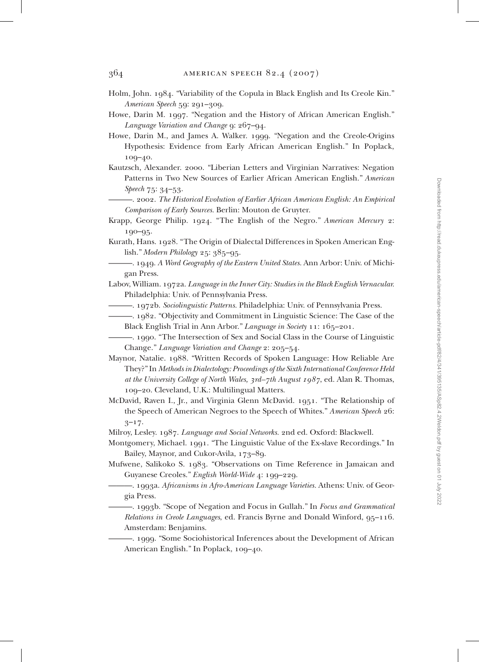- Holm, John. 1984. "Variability of the Copula in Black English and Its Creole Kin." *American Speech* 59: 291–309.
- Howe, Darin M. 1997. "Negation and the History of African American English." *Language Variation and Change* 9: 267–94.
- Howe, Darin M., and James A. Walker. 1999. "Negation and the Creole-Origins Hypothesis: Evidence from Early African American English." In Poplack, 109–40.
- Kautzsch, Alexander. 2000. "Liberian Letters and Virginian Narratives: Negation Patterns in Two New Sources of Earlier African American English." *American Speech* 75: 34–53.
	- ———. 2002. *The Historical Evolution of Earlier African American English: An Empirical Comparison of Early Sources.* Berlin: Mouton de Gruyter.
- Krapp, George Philip. 1924. "The English of the Negro." *American Mercury* 2: 190–95.
- Kurath, Hans. 1928. "The Origin of Dialectal Differences in Spoken American English." *Modern Philology* 25: 385–95.
- ———. 1949. *A Word Geography of the Eastern United States.* Ann Arbor: Univ. of Michigan Press.
- Labov, William. 1972a. *Language in the Inner City: Studies in the Black English Vernacular.* Philadelphia: Univ. of Pennsylvania Press.
- ———. 1972b. *Sociolinguistic Patterns.* Philadelphia: Univ. of Pennsylvania Press.
- ———. 1982. "Objectivity and Commitment in Linguistic Science: The Case of the Black English Trial in Ann Arbor." *Language in Society* 11: 165–201.
- ———. 1990. "The Intersection of Sex and Social Class in the Course of Linguistic Change." *Language Variation and Change* 2: 205–54.
- Maynor, Natalie. 1988. "Written Records of Spoken Language: How Reliable Are They?" In *Methods in Dialectology: Proceedings of the Sixth International Conference Held at the University College of North Wales, 3rd–7th August 1987*, ed. Alan R. Thomas, 109–20. Cleveland, U.K.: Multilingual Matters.
- McDavid, Raven I., Jr., and Virginia Glenn McDavid. 1951. "The Relationship of the Speech of American Negroes to the Speech of Whites." *American Speech* 26:  $3-17$ .
- Milroy, Lesley. 1987. *Language and Social Networks.* 2nd ed. Oxford: Blackwell.
- Montgomery, Michael. 1991. "The Linguistic Value of the Ex-slave Recordings." In Bailey, Maynor, and Cukor-Avila, 173–89.
- Mufwene, Salikoko S. 1983. "Observations on Time Reference in Jamaican and Guyanese Creoles." *English World-Wide* 4: 199–229.
- ———. 1993a. *Africanisms in Afro-American Language Varieties.* Athens: Univ. of Georgia Press.
	- ———. 1993b. "Scope of Negation and Focus in Gullah." In *Focus and Grammatical Relations in Creole Languages*, ed. Francis Byrne and Donald Winford, 95–116. Amsterdam: Benjamins.
	- ———. 1999. "Some Sociohistorical Inferences about the Development of African American English." In Poplack, 109–40.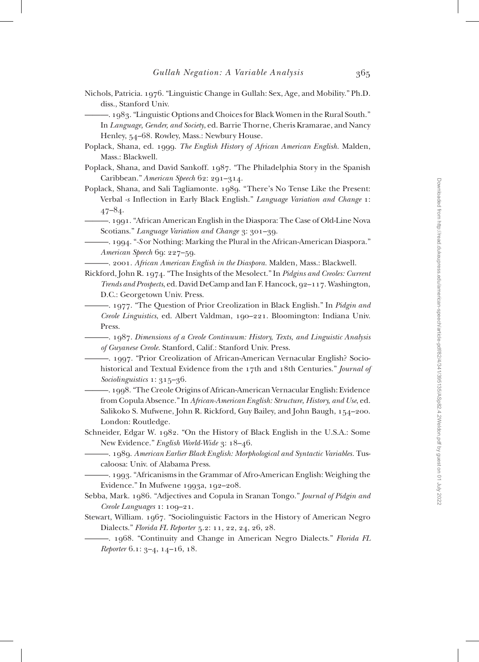Nichols, Patricia. 1976. "Linguistic Change in Gullah: Sex, Age, and Mobility." Ph.D. diss., Stanford Univ.

———. 1983. "Linguistic Options and Choices for Black Women in the Rural South." In *Language, Gender, and Society*, ed. Barrie Thorne, Cheris Kramarae, and Nancy Henley, 54–68. Rowley, Mass.: Newbury House.

- Poplack, Shana, ed. 1999. *The English History of African American English.* Malden, Mass.: Blackwell.
- Poplack, Shana, and David Sankoff. 1987. "The Philadelphia Story in the Spanish Caribbean." *American Speech* 62: 291–314.
- Poplack, Shana, and Sali Tagliamonte. 1989. "There's No Tense Like the Present: Verbal *-s* Inflection in Early Black English." *Language Variation and Change* 1: 47–84.
- ———. 1991. "African American English in the Diaspora: The Case of Old-Line Nova Scotians." *Language Variation and Change* 3: 301–39.

———. 1994. "*-S* or Nothing: Marking the Plural in the African-American Diaspora." *American Speech* 69: 227–59.

———. 2001. *African American English in the Diaspora.* Malden, Mass.: Blackwell.

- Rickford, John R. 1974. "The Insights of the Mesolect." In *Pidgins and Creoles: Current Trends and Prospects*, ed. David DeCamp and Ian F. Hancock, 92–117. Washington, D.C.: Georgetown Univ. Press.
- ———. 1977. "The Question of Prior Creolization in Black English." In *Pidgin and Creole Linguistics*, ed. Albert Valdman, 190–221. Bloomington: Indiana Univ. Press.
	- ———. 1987. *Dimensions of a Creole Continuum: History, Texts, and Linguistic Analysis of Guyanese Creole.* Stanford, Calif.: Stanford Univ. Press.
	- ———. 1997. "Prior Creolization of African-American Vernacular English? Sociohistorical and Textual Evidence from the 17th and 18th Centuries." *Journal of Sociolinguistics* 1: 315–36.
	- ———. 1998. "The Creole Origins of African-American Vernacular English: Evidence from Copula Absence." In *African-American English: Structure, History, and Use*, ed. Salikoko S. Mufwene, John R. Rickford, Guy Bailey, and John Baugh, 154–200. London: Routledge.
- Schneider, Edgar W. 1982. "On the History of Black English in the U.S.A.: Some New Evidence." *English World-Wide* 3: 18–46.
	- ———. 1989. *American Earlier Black English: Morphological and Syntactic Variables.* Tuscaloosa: Univ. of Alabama Press.
	- ———. 1993. "Africanisms in the Grammar of Afro-American English: Weighing the Evidence." In Mufwene 1993a, 192–208.
- Sebba, Mark. 1986. "Adjectives and Copula in Sranan Tongo." *Journal of Pidgin and Creole Languages* 1: 109–21.
- Stewart, William. 1967. "Sociolinguistic Factors in the History of American Negro Dialects." *Florida FL Reporter* 5.2: 11, 22, 24, 26, 28.
	- ———. 1968. "Continuity and Change in American Negro Dialects." *Florida FL Reporter* 6.1: 3–4, 14–16, 18.